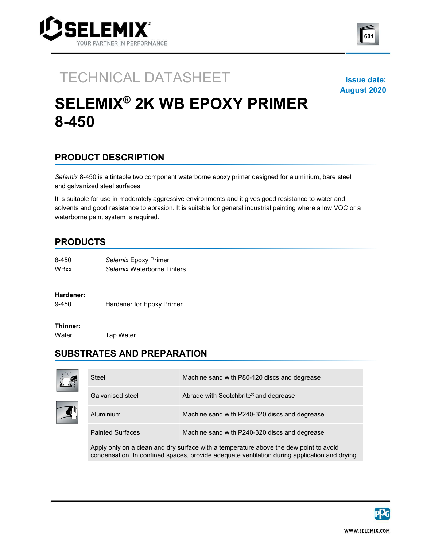



### TECHNICAL DATASHEET ISSUE date:

August 2020

# SELEMIX® 2K WB EPOXY PRIMER 8-450

## PRODUCT DESCRIPTION

Selemix 8-450 is a tintable two component waterborne epoxy primer designed for aluminium, bare steel and galvanized steel surfaces.

It is suitable for use in moderately aggressive environments and it gives good resistance to water and solvents and good resistance to abrasion. It is suitable for general industrial painting where a low VOC or a waterborne paint system is required.

#### PRODUCTS

| 8-450 | Selemix Epoxy Primer       |  |
|-------|----------------------------|--|
| WBxx  | Selemix Waterborne Tinters |  |

#### Hardener:

9-450 Hardener for Epoxy Primer

#### Thinner:

Water **Tap Water** 

## SUBSTRATES AND PREPARATION



| Steel                   | Machine sand with P80-120 discs and degrease  |
|-------------------------|-----------------------------------------------|
| Galvanised steel        | Abrade with Scotchbrite® and degrease         |
| Aluminium               | Machine sand with P240-320 discs and degrease |
| <b>Painted Surfaces</b> | Machine sand with P240-320 discs and degrease |

Apply only on a clean and dry surface with a temperature above the dew point to avoid condensation. In confined spaces, provide adequate ventilation during application and drying.

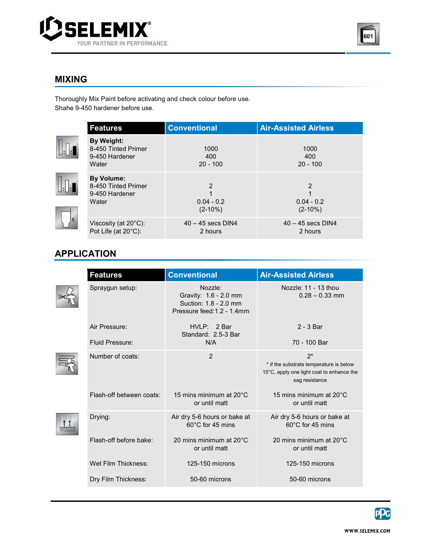



### MIXING

<u> Tanzania (h. 18</u> Thoroughly Mix Paint before activating and check colour before use. Shahe 9-450 hardener before use.

 $\textcolor{red}{\textbf{||.} \textbf{||.}}$ 

| <b>Features</b>                                                     | <b>Conventional</b>                 | <b>Air-Assisted Airless</b>    |
|---------------------------------------------------------------------|-------------------------------------|--------------------------------|
| By Weight:<br>8-450 Tinted Primer<br>9-450 Hardener<br>Water        | 1000<br>400<br>$20 - 100$           | 1000<br>400<br>$20 - 100$      |
| <b>By Volume:</b><br>8-450 Tinted Primer<br>9-450 Hardener<br>Water | 2<br>1<br>$0.04 - 0.2$<br>$(2-10%)$ | 2<br>$0.04 - 0.2$<br>$(2-10%)$ |
| Viscosity (at $20^{\circ}$ C):<br>Pot Life (at 20°C):               | $40 - 45$ secs DIN4<br>2 hours      | $40 - 45$ secs DIN4<br>2 hours |

## APPLICATION

| <b>Features</b>          | <b>Conventional</b>                                                                     | <b>Air-Assisted Airless</b>                                                                                     |
|--------------------------|-----------------------------------------------------------------------------------------|-----------------------------------------------------------------------------------------------------------------|
| Spraygun setup:          | Nozzle:<br>Gravity: 1.6 - 2.0 mm<br>Suction: 1.8 - 2.0 mm<br>Pressure feed: 1.2 - 1.4mm | Nozzle: 11 - 13 thou<br>$0.28 - 0.33$ mm                                                                        |
| Air Pressure:            | HVLP: 2 Bar<br>Standard: 2.5-3 Bar                                                      | $2 - 3$ Bar                                                                                                     |
| <b>Fluid Pressure:</b>   | N/A                                                                                     | 70 - 100 Bar                                                                                                    |
| Number of coats:         | 2                                                                                       | $2^*$<br>* if the substrate temperature is below<br>15°C, apply one light coat to enhance the<br>sag resistance |
| Flash-off between coats: | 15 mins minimum at $20^{\circ}$ C<br>or until matt                                      | 15 mins minimum at $20^{\circ}$ C<br>or until matt                                                              |
| Drying:                  | Air dry 5-6 hours or bake at<br>$60^{\circ}$ C for 45 mins                              | Air dry 5-6 hours or bake at<br>$60^{\circ}$ C for 45 mins                                                      |
| Flash-off before bake:   | 20 mins minimum at 20°C<br>or until matt                                                | 20 mins minimum at $20^{\circ}$ C<br>or until matt                                                              |
| Wet Film Thickness:      | 125-150 microns                                                                         | 125-150 microns                                                                                                 |
| Dry Film Thickness:      | 50-60 microns                                                                           | 50-60 microns                                                                                                   |

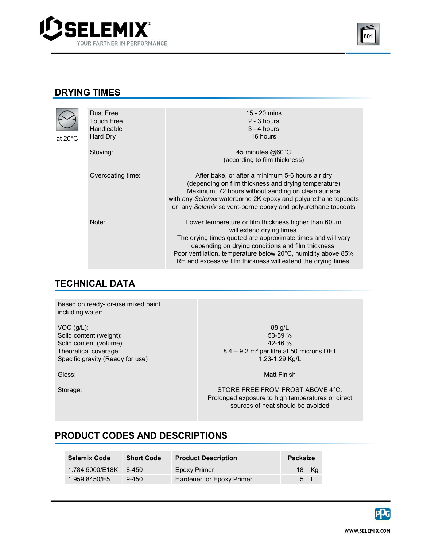



#### DRYING TIMES

 $at$ 

 $\overline{\mathcal{L}}$ 

| 20°C | Dust Free<br><b>Touch Free</b><br>Handleable<br>Hard Dry | 15 - 20 mins<br>$2 - 3$ hours<br>$3 - 4$ hours<br>16 hours                                                                                                                                                                                                                                                                              |
|------|----------------------------------------------------------|-----------------------------------------------------------------------------------------------------------------------------------------------------------------------------------------------------------------------------------------------------------------------------------------------------------------------------------------|
|      | Stoving:                                                 | 45 minutes @60°C<br>(according to film thickness)                                                                                                                                                                                                                                                                                       |
|      | Overcoating time:                                        | After bake, or after a minimum 5-6 hours air dry<br>(depending on film thickness and drying temperature)<br>Maximum: 72 hours without sanding on clean surface<br>with any Selemix waterborne 2K epoxy and polyurethane topcoats<br>or any Selemix solvent-borne epoxy and polyurethane topcoats                                        |
|      | Note:                                                    | Lower temperature or film thickness higher than 60um<br>will extend drying times.<br>The drying times quoted are approximate times and will vary<br>depending on drying conditions and film thickness.<br>Poor ventilation, temperature below 20°C, humidity above 85%<br>RH and excessive film thickness will extend the drying times. |

#### TECHNICAL DATA <u>a sa sala</u>

Based on ready-for-use mixed paint including water:

VOC (g/L): Solid content (weight): Solid content (volume): Theoretical coverage: Specific gravity (Ready for use)

Gloss:

Storage:

88 g/L 53-59 % 42-46 % 8.4 – 9.2 m² per litre at 50 microns DFT 1.23-1.29 Kg/L

Matt Finish

STORE FREE FROM FROST ABOVE 4°C. Prolonged exposure to high temperatures or direct sources of heat should be avoided

#### PRODUCT CODES AND DESCRIPTIONS

| <b>Selemix Code</b> | <b>Short Code</b> | <b>Product Description</b> | <b>Packsize</b> |        |
|---------------------|-------------------|----------------------------|-----------------|--------|
| 1.784.5000/E18K     | 8-450             | Epoxy Primer               |                 | 18 Kg  |
| 1.959.8450/E5       | $9 - 450$         | Hardener for Epoxy Primer  |                 | $5$ Lt |